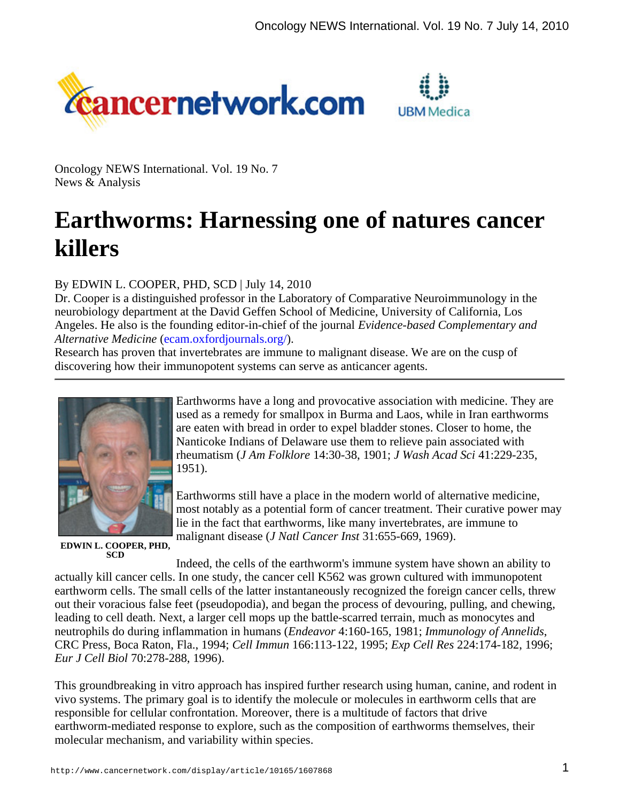



Oncology NEWS International. Vol. 19 No. 7 News & Analysis

# **Earthworms: Harnessing one of natures cancer killers**

## By EDWIN L. COOPER, PHD, SCD | July 14, 2010

Dr. Cooper is a distinguished professor in the Laboratory of Comparative Neuroimmunology in the neurobiology department at the David Geffen School of Medicine, University of California, Los Angeles. He also is the founding editor-in-chief of the journal *Evidence-based Complementary and Alternative Medicine* (ecam.oxfordjournals.org/).

Research has proven that invertebrates are immune to malignant disease. We are on the cusp of discovering how their immunopotent systems can serve as anticancer agents.



Earthworms have a long and provocative association with medicine. They are used as a remedy for smallpox in Burma and Laos, while in Iran earthworms are eaten with bread in order to expel bladder stones. Closer to home, the Nanticoke Indians of Delaware use them to relieve pain associated with rheumatism (*J Am Folklore* 14:30-38, 1901; *J Wash Acad Sci* 41:229-235, 1951).

Earthworms still have a place in the modern world of alternative medicine, most notably as a potential form of cancer treatment. Their curative power may lie in the fact that earthworms, like many invertebrates, are immune to malignant disease (*J Natl Cancer Inst* 31:655-669, 1969).

**EDWIN L. COOPER, PHD, SCD**

Indeed, the cells of the earthworm's immune system have shown an ability to actually kill cancer cells. In one study, the cancer cell K562 was grown cultured with immunopotent earthworm cells. The small cells of the latter instantaneously recognized the foreign cancer cells, threw out their voracious false feet (pseudopodia), and began the process of devouring, pulling, and chewing, leading to cell death. Next, a larger cell mops up the battle-scarred terrain, much as monocytes and neutrophils do during inflammation in humans (*Endeavor* 4:160-165, 1981; *Immunology of Annelids*, CRC Press, Boca Raton, Fla., 1994; *Cell Immun* 166:113-122, 1995; *Exp Cell Res* 224:174-182, 1996; *Eur J Cell Biol* 70:278-288, 1996).

This groundbreaking in vitro approach has inspired further research using human, canine, and rodent in vivo systems. The primary goal is to identify the molecule or molecules in earthworm cells that are responsible for cellular confrontation. Moreover, there is a multitude of factors that drive earthworm-mediated response to explore, such as the composition of earthworms themselves, their molecular mechanism, and variability within species.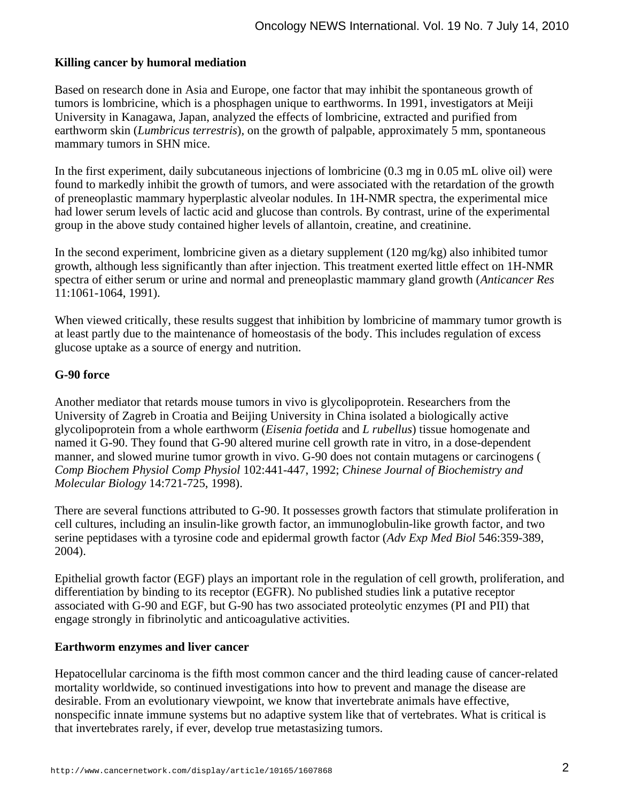### **Killing cancer by humoral mediation**

Based on research done in Asia and Europe, one factor that may inhibit the spontaneous growth of tumors is lombricine, which is a phosphagen unique to earthworms. In 1991, investigators at Meiji University in Kanagawa, Japan, analyzed the effects of lombricine, extracted and purified from earthworm skin (*Lumbricus terrestris*), on the growth of palpable, approximately 5 mm, spontaneous mammary tumors in SHN mice.

In the first experiment, daily subcutaneous injections of lombricine (0.3 mg in 0.05 mL olive oil) were found to markedly inhibit the growth of tumors, and were associated with the retardation of the growth of preneoplastic mammary hyperplastic alveolar nodules. In 1H-NMR spectra, the experimental mice had lower serum levels of lactic acid and glucose than controls. By contrast, urine of the experimental group in the above study contained higher levels of allantoin, creatine, and creatinine.

In the second experiment, lombricine given as a dietary supplement (120 mg/kg) also inhibited tumor growth, although less significantly than after injection. This treatment exerted little effect on 1H-NMR spectra of either serum or urine and normal and preneoplastic mammary gland growth (*Anticancer Res* 11:1061-1064, 1991).

When viewed critically, these results suggest that inhibition by lombricine of mammary tumor growth is at least partly due to the maintenance of homeostasis of the body. This includes regulation of excess glucose uptake as a source of energy and nutrition.

#### **G-90 force**

Another mediator that retards mouse tumors in vivo is glycolipoprotein. Researchers from the University of Zagreb in Croatia and Beijing University in China isolated a biologically active glycolipoprotein from a whole earthworm (*Eisenia foetida* and *L rubellus*) tissue homogenate and named it G-90. They found that G-90 altered murine cell growth rate in vitro, in a dose-dependent manner, and slowed murine tumor growth in vivo. G-90 does not contain mutagens or carcinogens ( *Comp Biochem Physiol Comp Physiol* 102:441-447, 1992; *Chinese Journal of Biochemistry and Molecular Biology* 14:721-725, 1998).

There are several functions attributed to G-90. It possesses growth factors that stimulate proliferation in cell cultures, including an insulin-like growth factor, an immunoglobulin-like growth factor, and two serine peptidases with a tyrosine code and epidermal growth factor (*Adv Exp Med Biol* 546:359-389, 2004).

Epithelial growth factor (EGF) plays an important role in the regulation of cell growth, proliferation, and differentiation by binding to its receptor (EGFR). No published studies link a putative receptor associated with G-90 and EGF, but G-90 has two associated proteolytic enzymes (PI and PII) that engage strongly in fibrinolytic and anticoagulative activities.

#### **Earthworm enzymes and liver cancer**

Hepatocellular carcinoma is the fifth most common cancer and the third leading cause of cancer-related mortality worldwide, so continued investigations into how to prevent and manage the disease are desirable. From an evolutionary viewpoint, we know that invertebrate animals have effective, nonspecific innate immune systems but no adaptive system like that of vertebrates. What is critical is that invertebrates rarely, if ever, develop true metastasizing tumors.